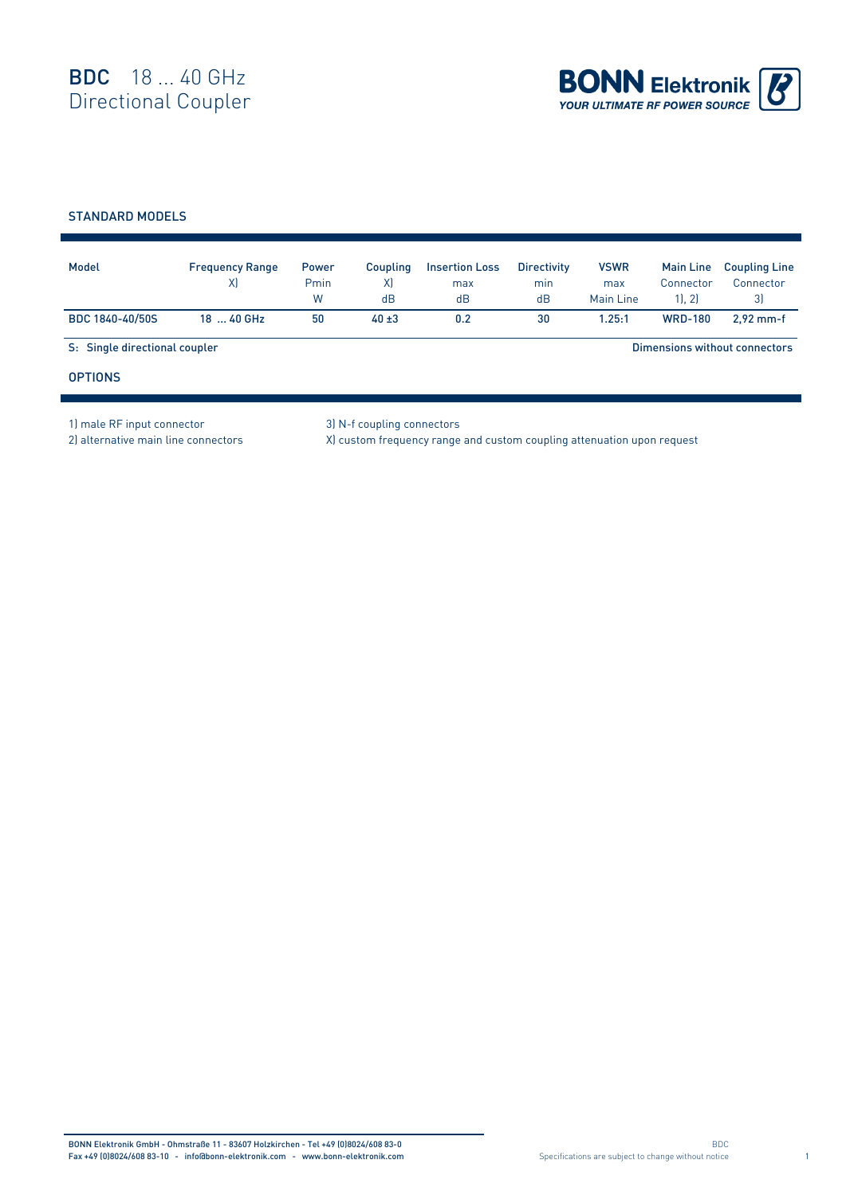

## STANDARD MODELS

| Model                         | <b>Frequency Range</b><br>X) | <b>Power</b><br>Pmin<br>W | Coupling<br>X)<br>dB | <b>Insertion Loss</b><br>max<br>dB | <b>Directivity</b><br>min<br>dB | <b>VSWR</b><br>max<br>Main Line | <b>Main Line</b><br>Connector<br>1, 2 | <b>Coupling Line</b><br>Connector<br>3) |  |
|-------------------------------|------------------------------|---------------------------|----------------------|------------------------------------|---------------------------------|---------------------------------|---------------------------------------|-----------------------------------------|--|
| BDC 1840-40/50S               | 18  40 GHz                   | 50                        | $40 \pm 3$           | 0.2                                | 30                              | 1.25:1                          | <b>WRD-180</b>                        | $2.92$ mm-f                             |  |
| S: Single directional coupler |                              |                           |                      |                                    |                                 | Dimensions without connectors   |                                       |                                         |  |
| <b>OPTIONS</b>                |                              |                           |                      |                                    |                                 |                                 |                                       |                                         |  |

1) male RF input connector 3) N-f coupling connectors

2) alternative main line connectors X) custom frequency range and custom coupling attenuation upon request